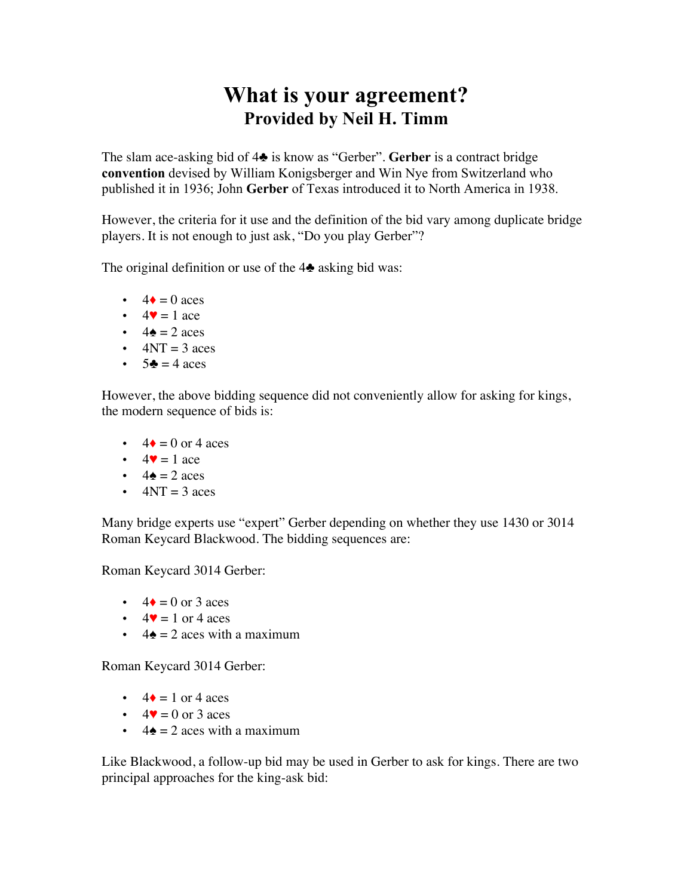## **What is your agreement? Provided by Neil H. Timm**

The slam ace-asking bid of 4♣ is know as "Gerber". **Gerber** is a contract bridge **convention** devised by William Konigsberger and Win Nye from Switzerland who published it in 1936; John **Gerber** of Texas introduced it to North America in 1938.

However, the criteria for it use and the definition of the bid vary among duplicate bridge players. It is not enough to just ask, "Do you play Gerber"?

The original definition or use of the  $4\triangle$  asking bid was:

- $\cdot$  4  $\bullet$  = 0 aces
- $\cdot$  4 $\bullet$  = 1 ace
- $\cdot$  4 $\bullet$  = 2 aces
- $\cdot$  4NT = 3 aces
- $5\clubsuit = 4 \text{ aces}$

However, the above bidding sequence did not conveniently allow for asking for kings, the modern sequence of bids is:

- $\cdot$  4  $\bullet$  = 0 or 4 aces
- $\cdot$  4 $\bullet$  = 1 ace
- $\cdot$  4 $\bullet$  = 2 aces
- $\cdot$  4NT = 3 aces

Many bridge experts use "expert" Gerber depending on whether they use 1430 or 3014 Roman Keycard Blackwood. The bidding sequences are:

Roman Keycard 3014 Gerber:

- $\cdot$  4  $\bullet$  = 0 or 3 aces
- $\cdot$  4 $\bullet$  = 1 or 4 aces
- $4\spadesuit = 2$  aces with a maximum

Roman Keycard 3014 Gerber:

- $4\bullet = 1$  or 4 aces
- $\cdot$  4 $\bullet$  = 0 or 3 aces
- $4\triangleq 2$  aces with a maximum

Like Blackwood, a follow-up bid may be used in Gerber to ask for kings. There are two principal approaches for the king-ask bid: